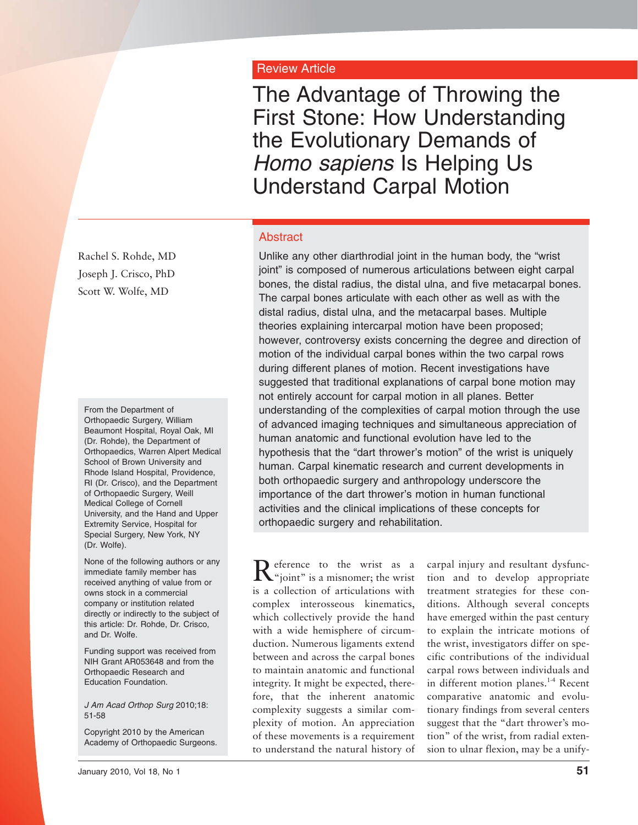# Review Article

The Advantage of Throwing the First Stone: How Understanding the Evolutionary Demands of *Homo sapiens* Is Helping Us Understand Carpal Motion

#### Abstract

Unlike any other diarthrodial joint in the human body, the "wrist joint" is composed of numerous articulations between eight carpal bones, the distal radius, the distal ulna, and five metacarpal bones. The carpal bones articulate with each other as well as with the distal radius, distal ulna, and the metacarpal bases. Multiple theories explaining intercarpal motion have been proposed; however, controversy exists concerning the degree and direction of motion of the individual carpal bones within the two carpal rows during different planes of motion. Recent investigations have suggested that traditional explanations of carpal bone motion may not entirely account for carpal motion in all planes. Better understanding of the complexities of carpal motion through the use of advanced imaging techniques and simultaneous appreciation of human anatomic and functional evolution have led to the hypothesis that the "dart thrower's motion" of the wrist is uniquely human. Carpal kinematic research and current developments in both orthopaedic surgery and anthropology underscore the importance of the dart thrower's motion in human functional activities and the clinical implications of these concepts for orthopaedic surgery and rehabilitation.

Reference to the wrist as a series of the wrist as a misnomer; the wrist is a collection of articulations with complex interosseous kinematics, which collectively provide the hand with a wide hemisphere of circumduction. Numerous ligaments extend between and across the carpal bones to maintain anatomic and functional integrity. It might be expected, therefore, that the inherent anatomic complexity suggests a similar complexity of motion. An appreciation of these movements is a requirement to understand the natural history of

carpal injury and resultant dysfunction and to develop appropriate treatment strategies for these conditions. Although several concepts have emerged within the past century to explain the intricate motions of the wrist, investigators differ on specific contributions of the individual carpal rows between individuals and in different motion planes.<sup>1-4</sup> Recent comparative anatomic and evolutionary findings from several centers suggest that the "dart thrower's motion" of the wrist, from radial extension to ulnar flexion, may be a unify-

Rachel S. Rohde, MD Joseph J. Crisco, PhD Scott W. Wolfe, MD

From the Department of Orthopaedic Surgery, William Beaumont Hospital, Royal Oak, MI (Dr. Rohde), the Department of Orthopaedics, Warren Alpert Medical School of Brown University and Rhode Island Hospital, Providence, RI (Dr. Crisco), and the Department of Orthopaedic Surgery, Weill Medical College of Cornell University, and the Hand and Upper Extremity Service, Hospital for Special Surgery, New York, NY (Dr. Wolfe).

None of the following authors or any immediate family member has received anything of value from or owns stock in a commercial company or institution related directly or indirectly to the subject of this article: Dr. Rohde, Dr. Crisco, and Dr. Wolfe.

Funding support was received from NIH Grant AR053648 and from the Orthopaedic Research and Education Foundation.

*J Am Acad Orthop Surg* 2010;18: 51-58

Copyright 2010 by the American Academy of Orthopaedic Surgeons.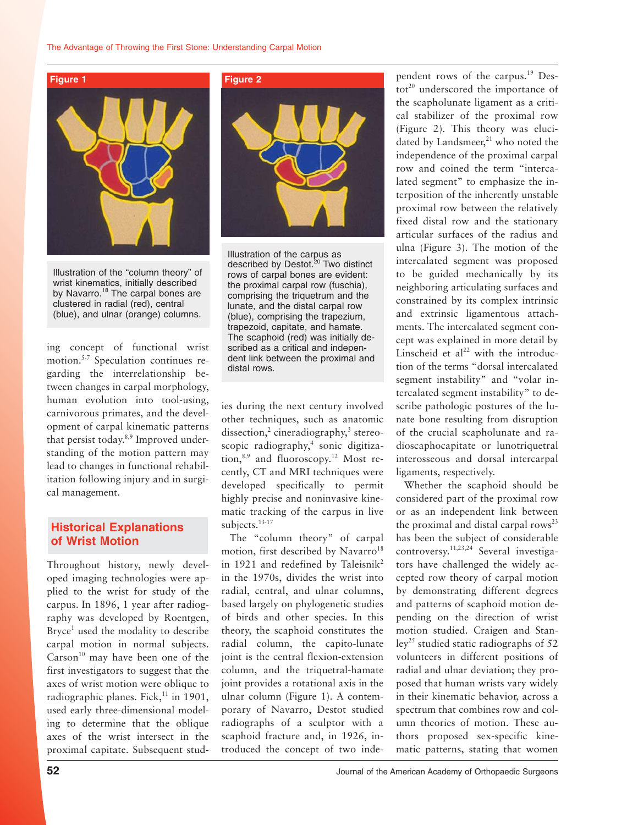

Illustration of the "column theory" of wrist kinematics, initially described by Navarro.<sup>18</sup> The carpal bones are clustered in radial (red), central (blue), and ulnar (orange) columns.

ing concept of functional wrist motion.<sup>5-7</sup> Speculation continues regarding the interrelationship between changes in carpal morphology, human evolution into tool-using, carnivorous primates, and the development of carpal kinematic patterns that persist today.<sup>8,9</sup> Improved understanding of the motion pattern may lead to changes in functional rehabilitation following injury and in surgical management.

#### **Historical Explanations of Wrist Motion**

Throughout history, newly developed imaging technologies were applied to the wrist for study of the carpus. In 1896, 1 year after radiography was developed by Roentgen, Bryce<sup>1</sup> used the modality to describe carpal motion in normal subjects.  $Carson<sup>10</sup>$  may have been one of the first investigators to suggest that the axes of wrist motion were oblique to radiographic planes. Fick, $^{11}$  in 1901, used early three-dimensional modeling to determine that the oblique axes of the wrist intersect in the proximal capitate. Subsequent stud-



Illustration of the carpus as described by Destot.<sup>20</sup> Two distinct rows of carpal bones are evident: the proximal carpal row (fuschia), comprising the triquetrum and the lunate, and the distal carpal row (blue), comprising the trapezium, trapezoid, capitate, and hamate. The scaphoid (red) was initially described as a critical and independent link between the proximal and distal rows.

ies during the next century involved other techniques, such as anatomic dissection,<sup>2</sup> cineradiography,<sup>3</sup> stereoscopic radiography,<sup>4</sup> sonic digitization, $8,9$  and fluoroscopy.<sup>12</sup> Most recently, CT and MRI techniques were developed specifically to permit highly precise and noninvasive kinematic tracking of the carpus in live subjects.<sup>13-17</sup>

The "column theory" of carpal motion, first described by Navarro<sup>18</sup> in 1921 and redefined by Taleisnik<sup>2</sup> in the 1970s, divides the wrist into radial, central, and ulnar columns, based largely on phylogenetic studies of birds and other species. In this theory, the scaphoid constitutes the radial column, the capito-lunate joint is the central flexion-extension column, and the triquetral-hamate joint provides a rotational axis in the ulnar column (Figure 1). A contemporary of Navarro, Destot studied radiographs of a sculptor with a scaphoid fracture and, in 1926, introduced the concept of two independent rows of the carpus.19 Des $tot<sup>20</sup>$  underscored the importance of the scapholunate ligament as a critical stabilizer of the proximal row (Figure 2). This theory was elucidated by Landsmeer,<sup>21</sup> who noted the independence of the proximal carpal row and coined the term "intercalated segment" to emphasize the interposition of the inherently unstable proximal row between the relatively fixed distal row and the stationary articular surfaces of the radius and ulna (Figure 3). The motion of the intercalated segment was proposed to be guided mechanically by its neighboring articulating surfaces and constrained by its complex intrinsic and extrinsic ligamentous attachments. The intercalated segment concept was explained in more detail by Linscheid et  $al^{22}$  with the introduction of the terms "dorsal intercalated segment instability" and "volar intercalated segment instability" to describe pathologic postures of the lunate bone resulting from disruption of the crucial scapholunate and radioscaphocapitate or lunotriquetral interosseous and dorsal intercarpal ligaments, respectively.

Whether the scaphoid should be considered part of the proximal row or as an independent link between the proximal and distal carpal rows<sup>23</sup> has been the subject of considerable controversy.11,23,24 Several investigators have challenged the widely accepted row theory of carpal motion by demonstrating different degrees and patterns of scaphoid motion depending on the direction of wrist motion studied. Craigen and Stan $ley<sup>25</sup>$  studied static radiographs of 52 volunteers in different positions of radial and ulnar deviation; they proposed that human wrists vary widely in their kinematic behavior, across a spectrum that combines row and column theories of motion. These authors proposed sex-specific kinematic patterns, stating that women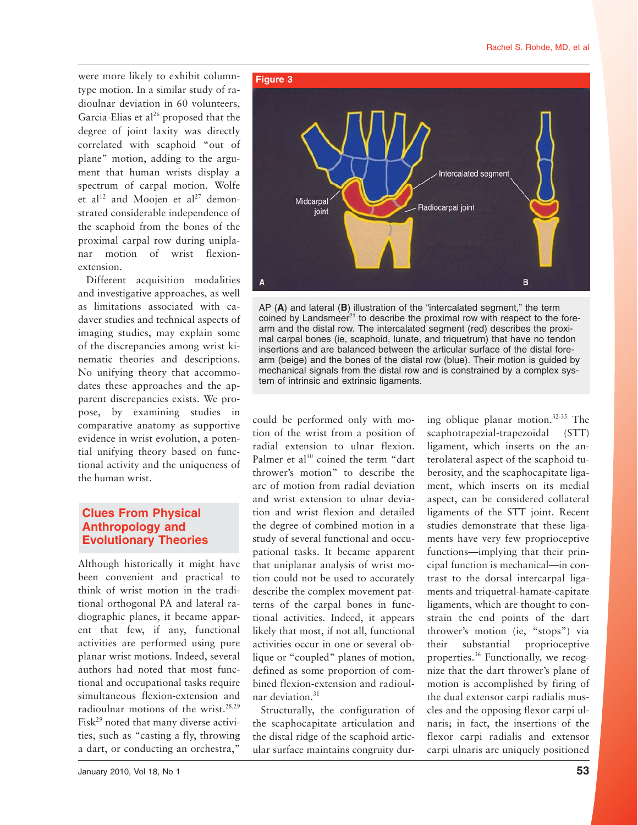were more likely to exhibit columntype motion. In a similar study of radioulnar deviation in 60 volunteers, Garcia-Elias et al<sup>26</sup> proposed that the degree of joint laxity was directly correlated with scaphoid "out of plane" motion, adding to the argument that human wrists display a spectrum of carpal motion. Wolfe et al<sup>12</sup> and Moojen et al<sup>27</sup> demonstrated considerable independence of the scaphoid from the bones of the proximal carpal row during uniplanar motion of wrist flexionextension.

Different acquisition modalities and investigative approaches, as well as limitations associated with cadaver studies and technical aspects of imaging studies, may explain some of the discrepancies among wrist kinematic theories and descriptions. No unifying theory that accommodates these approaches and the apparent discrepancies exists. We propose, by examining studies in comparative anatomy as supportive evidence in wrist evolution, a potential unifying theory based on functional activity and the uniqueness of the human wrist.

# **Clues From Physical Anthropology and Evolutionary Theories**

Although historically it might have been convenient and practical to think of wrist motion in the traditional orthogonal PA and lateral radiographic planes, it became apparent that few, if any, functional activities are performed using pure planar wrist motions. Indeed, several authors had noted that most functional and occupational tasks require simultaneous flexion-extension and radioulnar motions of the wrist.<sup>28,29</sup> Fisk<sup>29</sup> noted that many diverse activities, such as "casting a fly, throwing a dart, or conducting an orchestra,"



AP (**A**) and lateral (**B**) illustration of the "intercalated segment," the term coined by Landsmeer $^{21}$  to describe the proximal row with respect to the forearm and the distal row. The intercalated segment (red) describes the proximal carpal bones (ie, scaphoid, lunate, and triquetrum) that have no tendon insertions and are balanced between the articular surface of the distal forearm (beige) and the bones of the distal row (blue). Their motion is guided by mechanical signals from the distal row and is constrained by a complex system of intrinsic and extrinsic ligaments.

could be performed only with motion of the wrist from a position of radial extension to ulnar flexion. Palmer et al<sup>30</sup> coined the term "dart thrower's motion" to describe the arc of motion from radial deviation and wrist extension to ulnar deviation and wrist flexion and detailed the degree of combined motion in a study of several functional and occupational tasks. It became apparent that uniplanar analysis of wrist motion could not be used to accurately describe the complex movement patterns of the carpal bones in functional activities. Indeed, it appears likely that most, if not all, functional activities occur in one or several oblique or "coupled" planes of motion, defined as some proportion of combined flexion-extension and radioulnar deviation<sup>31</sup>

Structurally, the configuration of the scaphocapitate articulation and the distal ridge of the scaphoid articular surface maintains congruity during oblique planar motion. $32-35$  The scaphotrapezial-trapezoidal (STT) ligament, which inserts on the anterolateral aspect of the scaphoid tuberosity, and the scaphocapitate ligament, which inserts on its medial aspect, can be considered collateral ligaments of the STT joint. Recent studies demonstrate that these ligaments have very few proprioceptive functions—implying that their principal function is mechanical—in contrast to the dorsal intercarpal ligaments and triquetral-hamate-capitate ligaments, which are thought to constrain the end points of the dart thrower's motion (ie, "stops") via their substantial proprioceptive properties.36 Functionally, we recognize that the dart thrower's plane of motion is accomplished by firing of the dual extensor carpi radialis muscles and the opposing flexor carpi ulnaris; in fact, the insertions of the flexor carpi radialis and extensor carpi ulnaris are uniquely positioned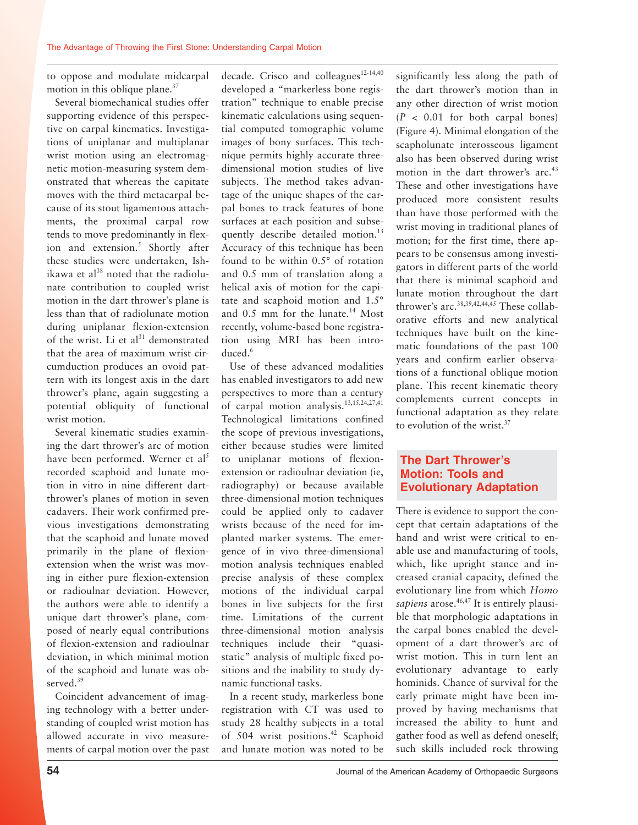to oppose and modulate midcarpal motion in this oblique plane.<sup>37</sup>

Several biomechanical studies offer supporting evidence of this perspective on carpal kinematics. Investigations of uniplanar and multiplanar wrist motion using an electromagnetic motion-measuring system demonstrated that whereas the capitate moves with the third metacarpal because of its stout ligamentous attachments, the proximal carpal row tends to move predominantly in flexion and extension.<sup>5</sup> Shortly after these studies were undertaken, Ishikawa et al<sup>38</sup> noted that the radiolunate contribution to coupled wrist motion in the dart thrower's plane is less than that of radiolunate motion during uniplanar flexion-extension of the wrist. Li et  $al<sup>31</sup>$  demonstrated that the area of maximum wrist circumduction produces an ovoid pattern with its longest axis in the dart thrower's plane, again suggesting a potential obliquity of functional wrist motion.

Several kinematic studies examining the dart thrower's arc of motion have been performed. Werner et al<sup>5</sup> recorded scaphoid and lunate motion in vitro in nine different dartthrower's planes of motion in seven cadavers. Their work confirmed previous investigations demonstrating that the scaphoid and lunate moved primarily in the plane of flexionextension when the wrist was moving in either pure flexion-extension or radioulnar deviation. However, the authors were able to identify a unique dart thrower's plane, composed of nearly equal contributions of flexion-extension and radioulnar deviation, in which minimal motion of the scaphoid and lunate was observed.<sup>39</sup>

Coincident advancement of imaging technology with a better understanding of coupled wrist motion has allowed accurate in vivo measurements of carpal motion over the past decade. Crisco and colleagues<sup>12-14,40</sup> developed a "markerless bone registration" technique to enable precise kinematic calculations using sequential computed tomographic volume images of bony surfaces. This technique permits highly accurate threedimensional motion studies of live subjects. The method takes advantage of the unique shapes of the carpal bones to track features of bone surfaces at each position and subsequently describe detailed motion.<sup>13</sup> Accuracy of this technique has been found to be within 0.5° of rotation and 0.5 mm of translation along a helical axis of motion for the capitate and scaphoid motion and 1.5° and 0.5 mm for the lunate.<sup>14</sup> Most recently, volume-based bone registration using MRI has been introduced<sup>6</sup>

Use of these advanced modalities has enabled investigators to add new perspectives to more than a century of carpal motion analysis.13,15,24,27,41 Technological limitations confined the scope of previous investigations, either because studies were limited to uniplanar motions of flexionextension or radioulnar deviation (ie, radiography) or because available three-dimensional motion techniques could be applied only to cadaver wrists because of the need for implanted marker systems. The emergence of in vivo three-dimensional motion analysis techniques enabled precise analysis of these complex motions of the individual carpal bones in live subjects for the first time. Limitations of the current three-dimensional motion analysis techniques include their "quasistatic" analysis of multiple fixed positions and the inability to study dynamic functional tasks.

In a recent study, markerless bone registration with CT was used to study 28 healthy subjects in a total of 504 wrist positions.<sup>42</sup> Scaphoid and lunate motion was noted to be significantly less along the path of the dart thrower's motion than in any other direction of wrist motion (*P* < 0.01 for both carpal bones) (Figure 4). Minimal elongation of the scapholunate interosseous ligament also has been observed during wrist motion in the dart thrower's arc.<sup>43</sup> These and other investigations have produced more consistent results than have those performed with the wrist moving in traditional planes of motion; for the first time, there appears to be consensus among investigators in different parts of the world that there is minimal scaphoid and lunate motion throughout the dart thrower's arc.<sup>38,39,42,44,45</sup> These collaborative efforts and new analytical techniques have built on the kinematic foundations of the past 100 years and confirm earlier observations of a functional oblique motion plane. This recent kinematic theory complements current concepts in functional adaptation as they relate to evolution of the wrist.<sup>37</sup>

### **The Dart Thrower's Motion: Tools and Evolutionary Adaptation**

There is evidence to support the concept that certain adaptations of the hand and wrist were critical to enable use and manufacturing of tools, which, like upright stance and increased cranial capacity, defined the evolutionary line from which *Homo* sapiens arose.<sup>46,47</sup> It is entirely plausible that morphologic adaptations in the carpal bones enabled the development of a dart thrower's arc of wrist motion. This in turn lent an evolutionary advantage to early hominids. Chance of survival for the early primate might have been improved by having mechanisms that increased the ability to hunt and gather food as well as defend oneself; such skills included rock throwing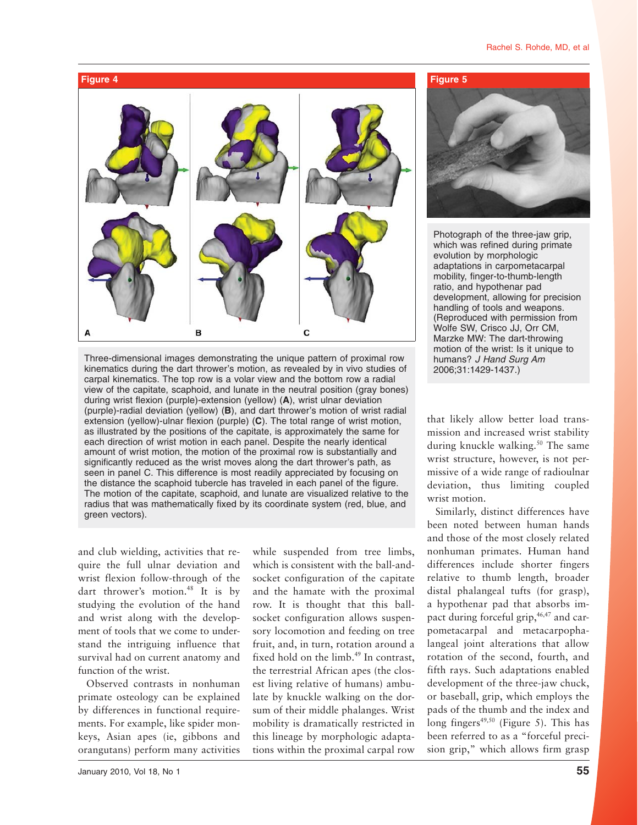

Three-dimensional images demonstrating the unique pattern of proximal row kinematics during the dart thrower's motion, as revealed by in vivo studies of carpal kinematics. The top row is a volar view and the bottom row a radial view of the capitate, scaphoid, and lunate in the neutral position (gray bones) during wrist flexion (purple)-extension (yellow) (**A**), wrist ulnar deviation (purple)-radial deviation (yellow) (**B**), and dart thrower's motion of wrist radial extension (yellow)-ulnar flexion (purple) (**C**). The total range of wrist motion, as illustrated by the positions of the capitate, is approximately the same for each direction of wrist motion in each panel. Despite the nearly identical amount of wrist motion, the motion of the proximal row is substantially and significantly reduced as the wrist moves along the dart thrower's path, as seen in panel C. This difference is most readily appreciated by focusing on the distance the scaphoid tubercle has traveled in each panel of the figure. The motion of the capitate, scaphoid, and lunate are visualized relative to the radius that was mathematically fixed by its coordinate system (red, blue, and green vectors).

and club wielding, activities that require the full ulnar deviation and wrist flexion follow-through of the dart thrower's motion.<sup>48</sup> It is by studying the evolution of the hand and wrist along with the development of tools that we come to understand the intriguing influence that survival had on current anatomy and function of the wrist.

Observed contrasts in nonhuman primate osteology can be explained by differences in functional requirements. For example, like spider monkeys, Asian apes (ie, gibbons and orangutans) perform many activities

sory locomotion and feeding on tree fruit, and, in turn, rotation around a fixed hold on the  $limb.<sup>49</sup>$  In contrast, the terrestrial African apes (the closest living relative of humans) ambulate by knuckle walking on the dorsum of their middle phalanges. Wrist mobility is dramatically restricted in this lineage by morphologic adaptations within the proximal carpal row

while suspended from tree limbs, which is consistent with the ball-andsocket configuration of the capitate and the hamate with the proximal row. It is thought that this ballsocket configuration allows suspen-



Photograph of the three-jaw grip, which was refined during primate evolution by morphologic adaptations in carpometacarpal mobility, finger-to-thumb-length ratio, and hypothenar pad development, allowing for precision handling of tools and weapons. (Reproduced with permission from Wolfe SW, Crisco JJ, Orr CM, Marzke MW: The dart-throwing motion of the wrist: Is it unique to humans? *J Hand Surg Am* 2006;31:1429-1437.)

that likely allow better load transmission and increased wrist stability during knuckle walking.<sup>50</sup> The same wrist structure, however, is not permissive of a wide range of radioulnar deviation, thus limiting coupled wrist motion.

Similarly, distinct differences have been noted between human hands and those of the most closely related nonhuman primates. Human hand differences include shorter fingers relative to thumb length, broader distal phalangeal tufts (for grasp), a hypothenar pad that absorbs impact during forceful grip, $46,47$  and carpometacarpal and metacarpophalangeal joint alterations that allow rotation of the second, fourth, and fifth rays. Such adaptations enabled development of the three-jaw chuck, or baseball, grip, which employs the pads of the thumb and the index and long fingers<sup>49,50</sup> (Figure 5). This has been referred to as a "forceful precision grip," which allows firm grasp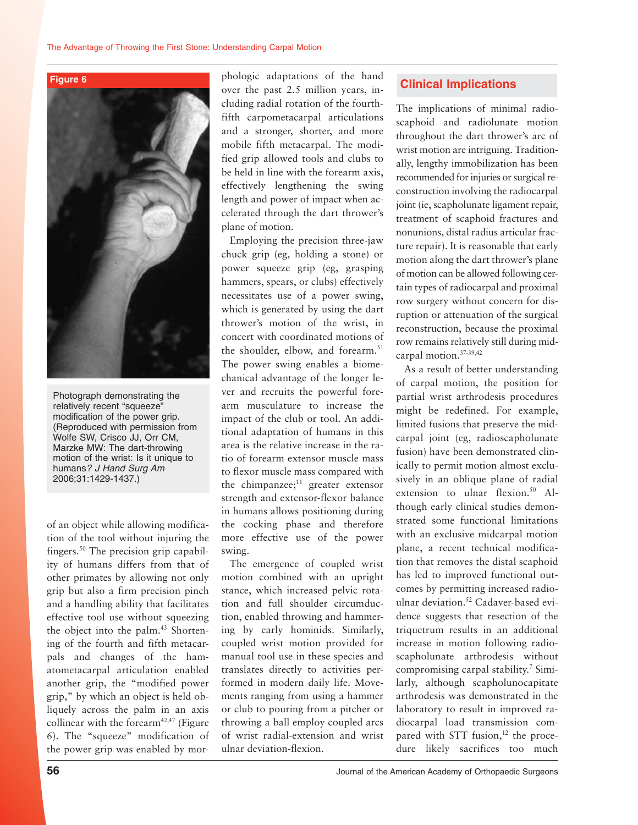



Photograph demonstrating the relatively recent "squeeze" modification of the power grip. (Reproduced with permission from Wolfe SW, Crisco JJ, Orr CM, Marzke MW: The dart-throwing motion of the wrist: Is it unique to humans*? J Hand Surg Am* 2006;31:1429-1437.)

of an object while allowing modification of the tool without injuring the fingers.50 The precision grip capability of humans differs from that of other primates by allowing not only grip but also a firm precision pinch and a handling ability that facilitates effective tool use without squeezing the object into the palm.<sup>43</sup> Shortening of the fourth and fifth metacarpals and changes of the hamatometacarpal articulation enabled another grip, the "modified power grip," by which an object is held obliquely across the palm in an axis collinear with the forearm<sup>42,47</sup> (Figure 6). The "squeeze" modification of the power grip was enabled by morphologic adaptations of the hand over the past 2.5 million years, including radial rotation of the fourthfifth carpometacarpal articulations and a stronger, shorter, and more mobile fifth metacarpal. The modified grip allowed tools and clubs to be held in line with the forearm axis, effectively lengthening the swing length and power of impact when accelerated through the dart thrower's plane of motion.

Employing the precision three-jaw chuck grip (eg, holding a stone) or power squeeze grip (eg, grasping hammers, spears, or clubs) effectively necessitates use of a power swing, which is generated by using the dart thrower's motion of the wrist, in concert with coordinated motions of the shoulder, elbow, and forearm.<sup>51</sup> The power swing enables a biomechanical advantage of the longer lever and recruits the powerful forearm musculature to increase the impact of the club or tool. An additional adaptation of humans in this area is the relative increase in the ratio of forearm extensor muscle mass to flexor muscle mass compared with the chimpanzee; $11$  greater extensor strength and extensor-flexor balance in humans allows positioning during the cocking phase and therefore more effective use of the power swing.

The emergence of coupled wrist motion combined with an upright stance, which increased pelvic rotation and full shoulder circumduction, enabled throwing and hammering by early hominids. Similarly, coupled wrist motion provided for manual tool use in these species and translates directly to activities performed in modern daily life. Movements ranging from using a hammer or club to pouring from a pitcher or throwing a ball employ coupled arcs of wrist radial-extension and wrist ulnar deviation-flexion.

#### **Clinical Implications**

The implications of minimal radioscaphoid and radiolunate motion throughout the dart thrower's arc of wrist motion are intriguing. Traditionally, lengthy immobilization has been recommended for injuries or surgical reconstruction involving the radiocarpal joint (ie, scapholunate ligament repair, treatment of scaphoid fractures and nonunions, distal radius articular fracture repair). It is reasonable that early motion along the dart thrower's plane of motion can be allowed following certain types of radiocarpal and proximal row surgery without concern for disruption or attenuation of the surgical reconstruction, because the proximal row remains relatively still during midcarpal motion.37-39,42

As a result of better understanding of carpal motion, the position for partial wrist arthrodesis procedures might be redefined. For example, limited fusions that preserve the midcarpal joint (eg, radioscapholunate fusion) have been demonstrated clinically to permit motion almost exclusively in an oblique plane of radial extension to ulnar flexion.<sup>50</sup> Although early clinical studies demonstrated some functional limitations with an exclusive midcarpal motion plane, a recent technical modification that removes the distal scaphoid has led to improved functional outcomes by permitting increased radioulnar deviation.<sup>52</sup> Cadaver-based evidence suggests that resection of the triquetrum results in an additional increase in motion following radioscapholunate arthrodesis without compromising carpal stability.<sup>7</sup> Similarly, although scapholunocapitate arthrodesis was demonstrated in the laboratory to result in improved radiocarpal load transmission compared with STT fusion, $12$  the procedure likely sacrifices too much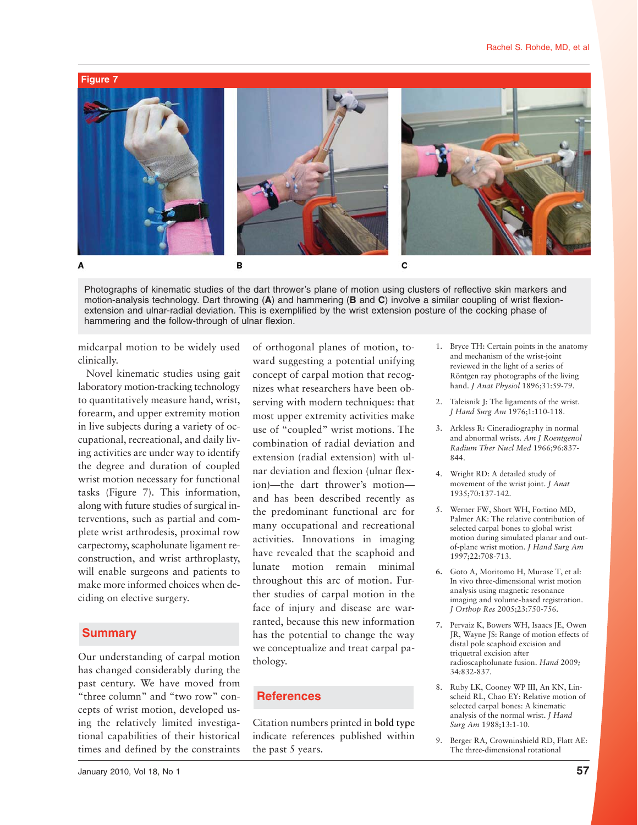

Photographs of kinematic studies of the dart thrower's plane of motion using clusters of reflective skin markers and motion-analysis technology. Dart throwing (**A**) and hammering (**B** and **C**) involve a similar coupling of wrist flexionextension and ulnar-radial deviation. This is exemplified by the wrist extension posture of the cocking phase of hammering and the follow-through of ulnar flexion.

midcarpal motion to be widely used clinically.

Novel kinematic studies using gait laboratory motion-tracking technology to quantitatively measure hand, wrist, forearm, and upper extremity motion in live subjects during a variety of occupational, recreational, and daily living activities are under way to identify the degree and duration of coupled wrist motion necessary for functional tasks (Figure 7). This information, along with future studies of surgical interventions, such as partial and complete wrist arthrodesis, proximal row carpectomy, scapholunate ligament reconstruction, and wrist arthroplasty, will enable surgeons and patients to make more informed choices when deciding on elective surgery.

#### **Summary**

Our understanding of carpal motion has changed considerably during the past century. We have moved from "three column" and "two row" concepts of wrist motion, developed using the relatively limited investigational capabilities of their historical times and defined by the constraints

of orthogonal planes of motion, toward suggesting a potential unifying concept of carpal motion that recognizes what researchers have been observing with modern techniques: that most upper extremity activities make use of "coupled" wrist motions. The combination of radial deviation and extension (radial extension) with ulnar deviation and flexion (ulnar flexion)—the dart thrower's motion and has been described recently as the predominant functional arc for many occupational and recreational activities. Innovations in imaging have revealed that the scaphoid and lunate motion remain minimal throughout this arc of motion. Further studies of carpal motion in the face of injury and disease are warranted, because this new information has the potential to change the way we conceptualize and treat carpal pathology.

# **References**

Citation numbers printed in **bold type** indicate references published within the past 5 years.

- 1. Bryce TH: Certain points in the anatomy and mechanism of the wrist-joint reviewed in the light of a series of Röntgen ray photographs of the living hand. *J Anat Physiol* 1896;31:59-79.
- 2. Taleisnik J: The ligaments of the wrist. *J Hand Surg Am* 1976;1:110-118.
- 3. Arkless R: Cineradiography in normal and abnormal wrists. *Am J Roentgenol Radium Ther Nucl Med* 1966;96:837- 844.
- 4. Wright RD: A detailed study of movement of the wrist joint. *J Anat* 1935;70:137-142.
- 5. Werner FW, Short WH, Fortino MD, Palmer AK: The relative contribution of selected carpal bones to global wrist motion during simulated planar and outof-plane wrist motion. *J Hand Surg Am* 1997;22:708-713.
- **6.** Goto A, Moritomo H, Murase T, et al: In vivo three-dimensional wrist motion analysis using magnetic resonance imaging and volume-based registration. *J Orthop Res* 2005;23:750-756.
- **7.** Pervaiz K, Bowers WH, Isaacs JE, Owen JR, Wayne JS: Range of motion effects of distal pole scaphoid excision and triquetral excision after radioscapholunate fusion. *Hand* 2009*;* 34*:*832*-*837.
- 8. Ruby LK, Cooney WP III, An KN, Linscheid RL, Chao EY: Relative motion of selected carpal bones: A kinematic analysis of the normal wrist. *J Hand Surg Am* 1988;13:1-10.
- 9. Berger RA, Crowninshield RD, Flatt AE: The three-dimensional rotational